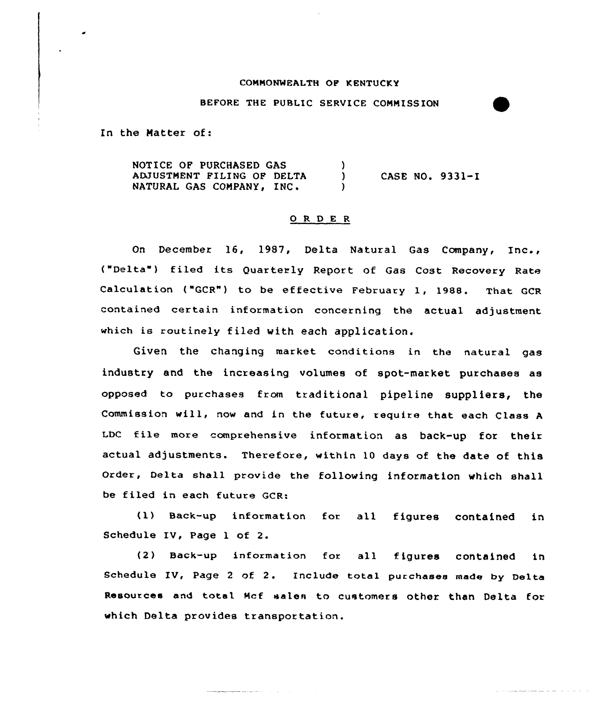## CONMQNWEALTH OF KENTUCKY

## BEFORE THE PUBLIC SERVICE CONNISS ION

In the Matter of:

NOTICE OF PURCHASED GAS  $\mathcal{L}$ ADJUSTMENT FILING OF DELTA CASE NO. 9331-I  $\mathcal{L}$ NATURAL GAS COMPANY, INC.  $\mathcal{L}$ 

## 0 R <sup>D</sup> E R

On December 16, 19S7, Delta Natural Gas Company, Inc., ("Delta") filed its Quarterly Report of Gas Cost Recovery Rate Calculation ("GCR") to be effective February 1, 1988. That GCR contained certain information concerning the actual adjustment which is routinely filed with each application.

Given the changing market conditions in the natural gas industry and the increasing volumes of spot-market purchases as opposed to purchases from traditional pipeline suppliers, the Commission will, now and in the futuxe, xequixe that each Class <sup>A</sup> LDC file more comprehensive information as back-up for their actual adjustments. Therefoxe, within 10 days of the date of this Order, Delta shall provide the following information which shall be filed in each future GCR:

(1) Back-up information fox all figures contained in Schedule IV, Page 1 of 2.

(2) Back-up infcrmation fox all figures contained in Schedule IU, Page <sup>2</sup> of 2. Include total purchases made by Delta Resouxces and total Mcf sales to customers other than Delta for which Delta provides transportation.

**Contractor**